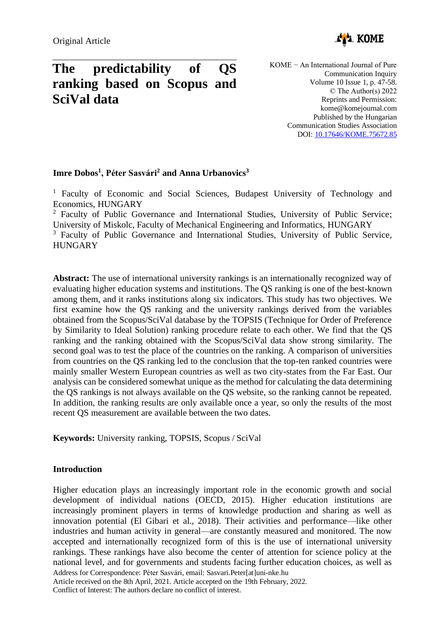

# **The predictability of QS ranking based on Scopus and SciVal data**

KOME − An International Journal of Pure Communication Inquiry Volume 10 Issue 1, p. 47-58. © The Author(s) 2022 Reprints and Permission: kome@komejournal.com Published by the Hungarian Communication Studies Association DOI: [10.17646/KOME.75672.85](https://doi.org/10.17646/KOME.75672.85)

# **Imre Dobos<sup>1</sup> , Péter Sasvári<sup>2</sup> and Anna Urbanovics<sup>3</sup>**

<sup>1</sup> Faculty of Economic and Social Sciences, Budapest University of Technology and Economics, HUNGARY

<sup>2</sup> Faculty of Public Governance and International Studies, University of Public Service; University of Miskolc, Faculty of Mechanical Engineering and Informatics, HUNGARY

<sup>3</sup> Faculty of Public Governance and International Studies, University of Public Service, **HUNGARY** 

**Abstract:** The use of international university rankings is an internationally recognized way of evaluating higher education systems and institutions. The QS ranking is one of the best-known among them, and it ranks institutions along six indicators. This study has two objectives. We first examine how the QS ranking and the university rankings derived from the variables obtained from the Scopus/SciVal database by the TOPSIS (Technique for Order of Preference by Similarity to Ideal Solution) ranking procedure relate to each other. We find that the QS ranking and the ranking obtained with the Scopus/SciVal data show strong similarity. The second goal was to test the place of the countries on the ranking. A comparison of universities from countries on the QS ranking led to the conclusion that the top-ten ranked countries were mainly smaller Western European countries as well as two city-states from the Far East. Our analysis can be considered somewhat unique as the method for calculating the data determining the QS rankings is not always available on the QS website, so the ranking cannot be repeated. In addition, the ranking results are only available once a year, so only the results of the most recent QS measurement are available between the two dates.

**Keywords:** University ranking, TOPSIS, Scopus / SciVal

# **Introduction**

Address for Correspondence: Péter Sasvári, email: Sasvari.Peter[at]uni-nke.hu Article received on the 8th April, 2021. Article accepted on the 19th February, 2022. Conflict of Interest: The authors declare no conflict of interest. Higher education plays an increasingly important role in the economic growth and social development of individual nations (OECD, 2015). Higher education institutions are increasingly prominent players in terms of knowledge production and sharing as well as innovation potential (El Gibari et al., 2018). Their activities and performance—like other industries and human activity in general—are constantly measured and monitored. The now accepted and internationally recognized form of this is the use of international university rankings. These rankings have also become the center of attention for science policy at the national level, and for governments and students facing further education choices, as well as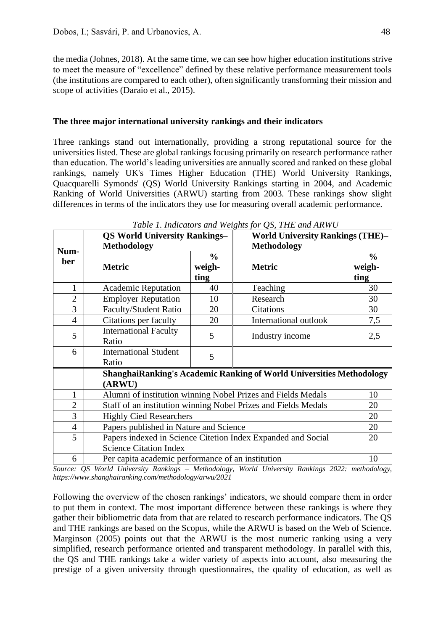the media (Johnes, 2018). At the same time, we can see how higher education institutions strive to meet the measure of "excellence" defined by these relative performance measurement tools (the institutions are compared to each other), often significantly transforming their mission and scope of activities (Daraio et al., 2015).

## **The three major international university rankings and their indicators**

Three rankings stand out internationally, providing a strong reputational source for the universities listed. These are global rankings focusing primarily on research performance rather than education. The world's leading universities are annually scored and ranked on these global rankings, namely UK's Times Higher Education (THE) World University Rankings, Quacquarelli Symonds' (QS) World University Rankings starting in 2004, and Academic Ranking of World Universities (ARWU) starting from 2003. These rankings show slight differences in terms of the indicators they use for measuring overall academic performance.

|                | <b>QS World University Rankings-</b>                           |                                                              | <b>World University Rankings (THE)-</b>                                     |               |  |  |  |  |
|----------------|----------------------------------------------------------------|--------------------------------------------------------------|-----------------------------------------------------------------------------|---------------|--|--|--|--|
| Num-           | <b>Methodology</b>                                             |                                                              | <b>Methodology</b>                                                          |               |  |  |  |  |
| ber            |                                                                | $\frac{0}{0}$                                                |                                                                             | $\frac{0}{0}$ |  |  |  |  |
|                | <b>Metric</b>                                                  | weigh-                                                       | <b>Metric</b>                                                               | weigh-        |  |  |  |  |
|                |                                                                | ting                                                         |                                                                             | ting          |  |  |  |  |
| 1              | <b>Academic Reputation</b>                                     | 40                                                           | Teaching                                                                    | 30            |  |  |  |  |
| $\overline{2}$ | <b>Employer Reputation</b>                                     | 10                                                           | Research                                                                    | 30            |  |  |  |  |
| 3              | <b>Faculty/Student Ratio</b>                                   | 20                                                           | Citations                                                                   | 30            |  |  |  |  |
| $\overline{4}$ | Citations per faculty                                          | 20                                                           | International outlook                                                       | 7,5           |  |  |  |  |
| 5              | <b>International Faculty</b>                                   | 5                                                            |                                                                             |               |  |  |  |  |
|                | Ratio                                                          |                                                              | Industry income                                                             | 2,5           |  |  |  |  |
| 6              | <b>International Student</b>                                   | 5                                                            |                                                                             |               |  |  |  |  |
|                | Ratio                                                          |                                                              |                                                                             |               |  |  |  |  |
|                |                                                                |                                                              | <b>ShanghaiRanking's Academic Ranking of World Universities Methodology</b> |               |  |  |  |  |
|                | (ARWU)                                                         |                                                              |                                                                             |               |  |  |  |  |
| 1              |                                                                | Alumni of institution winning Nobel Prizes and Fields Medals |                                                                             |               |  |  |  |  |
| $\overline{2}$ | Staff of an institution winning Nobel Prizes and Fields Medals |                                                              |                                                                             |               |  |  |  |  |
| 3              | <b>Highly Cied Researchers</b>                                 |                                                              |                                                                             |               |  |  |  |  |
| $\overline{4}$ |                                                                | Papers published in Nature and Science                       |                                                                             |               |  |  |  |  |
| 5              |                                                                |                                                              | Papers indexed in Science Citetion Index Expanded and Social                | 20            |  |  |  |  |
|                | <b>Science Citation Index</b>                                  |                                                              |                                                                             |               |  |  |  |  |
| 6              | Per capita academic performance of an institution              |                                                              | 10                                                                          |               |  |  |  |  |

*Table 1. Indicators and Weights for QS, THE and ARWU*

*Source: QS World University Rankings – Methodology, World University Rankings 2022: methodology, https://www.shanghairanking.com/methodology/arwu/2021*

Following the overview of the chosen rankings' indicators, we should compare them in order to put them in context. The most important difference between these rankings is where they gather their bibliometric data from that are related to research performance indicators. The QS and THE rankings are based on the Scopus, while the ARWU is based on the Web of Science. Marginson (2005) points out that the ARWU is the most numeric ranking using a very simplified, research performance oriented and transparent methodology. In parallel with this, the QS and THE rankings take a wider variety of aspects into account, also measuring the prestige of a given university through questionnaires, the quality of education, as well as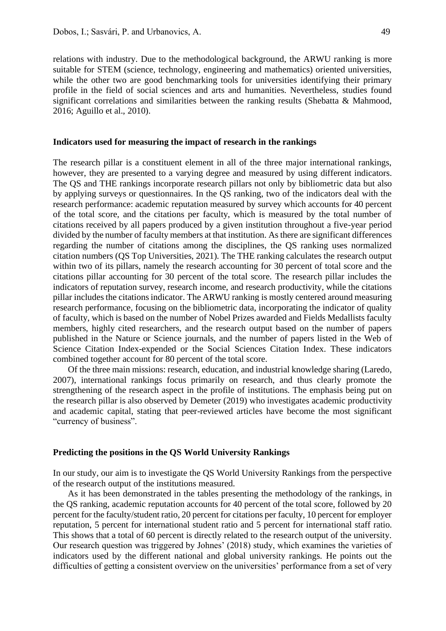relations with industry. Due to the methodological background, the ARWU ranking is more suitable for STEM (science, technology, engineering and mathematics) oriented universities, while the other two are good benchmarking tools for universities identifying their primary profile in the field of social sciences and arts and humanities. Nevertheless, studies found significant correlations and similarities between the ranking results (Shebatta & Mahmood, 2016; Aguillo et al., 2010).

#### **Indicators used for measuring the impact of research in the rankings**

The research pillar is a constituent element in all of the three major international rankings, however, they are presented to a varying degree and measured by using different indicators. The QS and THE rankings incorporate research pillars not only by bibliometric data but also by applying surveys or questionnaires. In the QS ranking, two of the indicators deal with the research performance: academic reputation measured by survey which accounts for 40 percent of the total score, and the citations per faculty, which is measured by the total number of citations received by all papers produced by a given institution throughout a five-year period divided by the number of faculty members at that institution. As there are significant differences regarding the number of citations among the disciplines, the QS ranking uses normalized citation numbers (QS Top Universities, 2021). The THE ranking calculates the research output within two of its pillars, namely the research accounting for 30 percent of total score and the citations pillar accounting for 30 percent of the total score. The research pillar includes the indicators of reputation survey, research income, and research productivity, while the citations pillar includes the citations indicator. The ARWU ranking is mostly centered around measuring research performance, focusing on the bibliometric data, incorporating the indicator of quality of faculty, which is based on the number of Nobel Prizes awarded and Fields Medallists faculty members, highly cited researchers, and the research output based on the number of papers published in the Nature or Science journals, and the number of papers listed in the Web of Science Citation Index-expended or the Social Sciences Citation Index. These indicators combined together account for 80 percent of the total score.

Of the three main missions: research, education, and industrial knowledge sharing (Laredo, 2007), international rankings focus primarily on research, and thus clearly promote the strengthening of the research aspect in the profile of institutions. The emphasis being put on the research pillar is also observed by Demeter (2019) who investigates academic productivity and academic capital, stating that peer-reviewed articles have become the most significant "currency of business".

#### **Predicting the positions in the QS World University Rankings**

In our study, our aim is to investigate the QS World University Rankings from the perspective of the research output of the institutions measured.

As it has been demonstrated in the tables presenting the methodology of the rankings, in the QS ranking, academic reputation accounts for 40 percent of the total score, followed by 20 percent for the faculty/student ratio, 20 percent for citations per faculty, 10 percent for employer reputation, 5 percent for international student ratio and 5 percent for international staff ratio. This shows that a total of 60 percent is directly related to the research output of the university. Our research question was triggered by Johnes' (2018) study, which examines the varieties of indicators used by the different national and global university rankings. He points out the difficulties of getting a consistent overview on the universities' performance from a set of very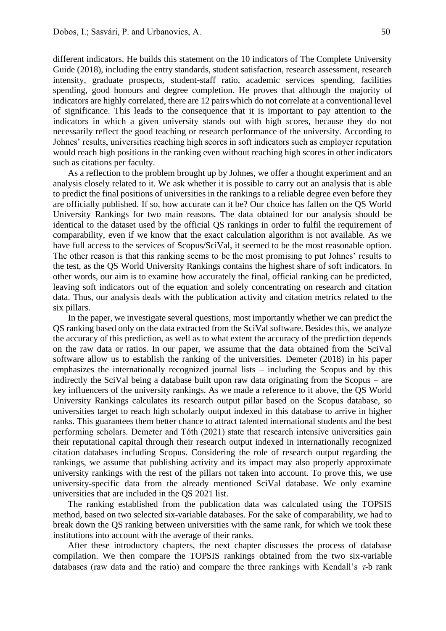different indicators. He builds this statement on the 10 indicators of The Complete University Guide (2018), including the entry standards, student satisfaction, research assessment, research intensity, graduate prospects, student-staff ratio, academic services spending, facilities spending, good honours and degree completion. He proves that although the majority of indicators are highly correlated, there are 12 pairs which do not correlate at a conventional level of significance. This leads to the consequence that it is important to pay attention to the indicators in which a given university stands out with high scores, because they do not necessarily reflect the good teaching or research performance of the university. According to Johnes' results, universities reaching high scores in soft indicators such as employer reputation would reach high positions in the ranking even without reaching high scores in other indicators such as citations per faculty.

As a reflection to the problem brought up by Johnes, we offer a thought experiment and an analysis closely related to it. We ask whether it is possible to carry out an analysis that is able to predict the final positions of universities in the rankings to a reliable degree even before they are officially published. If so, how accurate can it be? Our choice has fallen on the QS World University Rankings for two main reasons. The data obtained for our analysis should be identical to the dataset used by the official QS rankings in order to fulfil the requirement of comparability, even if we know that the exact calculation algorithm is not available. As we have full access to the services of Scopus/SciVal, it seemed to be the most reasonable option. The other reason is that this ranking seems to be the most promising to put Johnes' results to the test, as the QS World University Rankings contains the highest share of soft indicators. In other words, our aim is to examine how accurately the final, official ranking can be predicted, leaving soft indicators out of the equation and solely concentrating on research and citation data. Thus, our analysis deals with the publication activity and citation metrics related to the six pillars.

In the paper, we investigate several questions, most importantly whether we can predict the QS ranking based only on the data extracted from the SciVal software. Besides this, we analyze the accuracy of this prediction, as well as to what extent the accuracy of the prediction depends on the raw data or ratios. In our paper, we assume that the data obtained from the SciVal software allow us to establish the ranking of the universities. Demeter (2018) in his paper emphasizes the internationally recognized journal lists – including the Scopus and by this indirectly the SciVal being a database built upon raw data originating from the Scopus – are key influencers of the university rankings. As we made a reference to it above, the QS World University Rankings calculates its research output pillar based on the Scopus database, so universities target to reach high scholarly output indexed in this database to arrive in higher ranks. This guarantees them better chance to attract talented international students and the best performing scholars. Demeter and Tóth (2021) state that research intensive universities gain their reputational capital through their research output indexed in internationally recognized citation databases including Scopus. Considering the role of research output regarding the rankings, we assume that publishing activity and its impact may also properly approximate university rankings with the rest of the pillars not taken into account. To prove this, we use university-specific data from the already mentioned SciVal database. We only examine universities that are included in the QS 2021 list.

The ranking established from the publication data was calculated using the TOPSIS method, based on two selected six-variable databases. For the sake of comparability, we had to break down the QS ranking between universities with the same rank, for which we took these institutions into account with the average of their ranks.

After these introductory chapters, the next chapter discusses the process of database compilation. We then compare the TOPSIS rankings obtained from the two six-variable databases (raw data and the ratio) and compare the three rankings with Kendall's  $\tau$ -b rank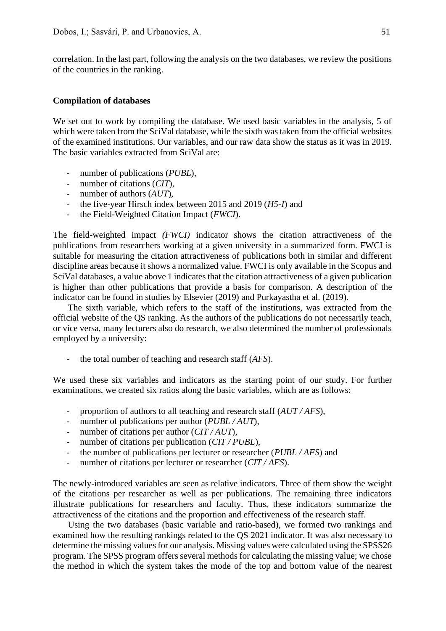correlation. In the last part, following the analysis on the two databases, we review the positions of the countries in the ranking.

#### **Compilation of databases**

We set out to work by compiling the database. We used basic variables in the analysis, 5 of which were taken from the SciVal database, while the sixth was taken from the official websites of the examined institutions. Our variables, and our raw data show the status as it was in 2019. The basic variables extracted from SciVal are:

- number of publications (*PUBL*),
- number of citations (*CIT*),
- number of authors (*AUT*),
- the five-year Hirsch index between 2015 and 2019 (*H5-I*) and
- the Field-Weighted Citation Impact (*FWCI*).

The field-weighted impact *(FWCI)* indicator shows the citation attractiveness of the publications from researchers working at a given university in a summarized form. FWCI is suitable for measuring the citation attractiveness of publications both in similar and different discipline areas because it shows a normalized value. FWCI is only available in the Scopus and SciVal databases, a value above 1 indicates that the citation attractiveness of a given publication is higher than other publications that provide a basis for comparison. A description of the indicator can be found in studies by Elsevier (2019) and Purkayastha et al. (2019).

The sixth variable, which refers to the staff of the institutions, was extracted from the official website of the QS ranking. As the authors of the publications do not necessarily teach, or vice versa, many lecturers also do research, we also determined the number of professionals employed by a university:

- the total number of teaching and research staff (*AFS*).

We used these six variables and indicators as the starting point of our study. For further examinations, we created six ratios along the basic variables, which are as follows:

- proportion of authors to all teaching and research staff (*AUT / AFS*),
- number of publications per author (*PUBL / AUT*),
- number of citations per author (*CIT / AUT*),
- number of citations per publication (*CIT / PUBL*),
- the number of publications per lecturer or researcher (*PUBL / AFS*) and
- number of citations per lecturer or researcher (*CIT / AFS*).

The newly-introduced variables are seen as relative indicators. Three of them show the weight of the citations per researcher as well as per publications. The remaining three indicators illustrate publications for researchers and faculty. Thus, these indicators summarize the attractiveness of the citations and the proportion and effectiveness of the research staff.

Using the two databases (basic variable and ratio-based), we formed two rankings and examined how the resulting rankings related to the QS 2021 indicator. It was also necessary to determine the missing values for our analysis. Missing values were calculated using the SPSS26 program. The SPSS program offers several methods for calculating the missing value; we chose the method in which the system takes the mode of the top and bottom value of the nearest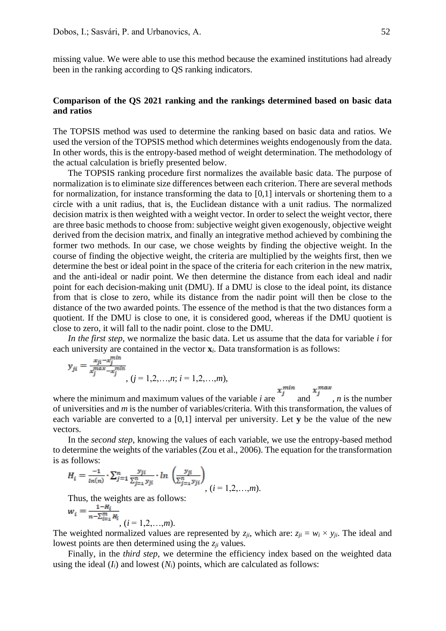missing value. We were able to use this method because the examined institutions had already been in the ranking according to QS ranking indicators.

## **Comparison of the QS 2021 ranking and the rankings determined based on basic data and ratios**

The TOPSIS method was used to determine the ranking based on basic data and ratios. We used the version of the TOPSIS method which determines weights endogenously from the data. In other words, this is the entropy-based method of weight determination. The methodology of the actual calculation is briefly presented below.

The TOPSIS ranking procedure first normalizes the available basic data. The purpose of normalization is to eliminate size differences between each criterion. There are several methods for normalization, for instance transforming the data to [0,1] intervals or shortening them to a circle with a unit radius, that is, the Euclidean distance with a unit radius. The normalized decision matrix is then weighted with a weight vector. In order to select the weight vector, there are three basic methods to choose from: subjective weight given exogenously, objective weight derived from the decision matrix, and finally an integrative method achieved by combining the former two methods. In our case, we chose weights by finding the objective weight. In the course of finding the objective weight, the criteria are multiplied by the weights first, then we determine the best or ideal point in the space of the criteria for each criterion in the new matrix, and the anti-ideal or nadir point. We then determine the distance from each ideal and nadir point for each decision-making unit (DMU). If a DMU is close to the ideal point, its distance from that is close to zero, while its distance from the nadir point will then be close to the distance of the two awarded points. The essence of the method is that the two distances form a quotient. If the DMU is close to one, it is considered good, whereas if the DMU quotient is close to zero, it will fall to the nadir point. close to the DMU.

*In the first step*, we normalize the basic data. Let us assume that the data for variable *i* for each university are contained in the vector **x***i*. Data transformation is as follows:

$$
y_{ji} = \frac{x_{ji} - x_j^{min}}{x_j^{max} - x_j^{min}}, (j = 1, 2, ..., n; i = 1, 2, ..., m),
$$

where the minimum and maximum values of the variable *i* are  $x_j^{min}$  and  $x_j^{max}$ , *n* is the number of universities and *m* is the number of variables/criteria. With this transformation, the values of each variable are converted to a [0,1] interval per university. Let **y** be the value of the new vectors.

In the *second step*, knowing the values of each variable, we use the entropy-based method to determine the weights of the variables (Zou et al., 2006). The equation for the transformation is as follows:

$$
H_i = \frac{-1}{\ln(n)} \cdot \sum_{j=1}^n \frac{y_{ji}}{\sum_{j=1}^n y_{ji}} \cdot \ln \left( \frac{y_{ji}}{\sum_{j=1}^n y_{ji}} \right)_{i,j} (i = 1, 2, \dots, m).
$$

Thus, the weights are as follows:

$$
w_i = \frac{1 - H_i}{n - \sum_{i=1}^m H_i}, (i = 1, 2, \dots, m).
$$

The weighted normalized values are represented by  $z_{ji}$ , which are:  $z_{ji} = w_i \times y_{ji}$ . The ideal and lowest points are then determined using the *zji* values.

Finally, in the *third step*, we determine the efficiency index based on the weighted data using the ideal  $(I_i)$  and lowest  $(N_i)$  points, which are calculated as follows: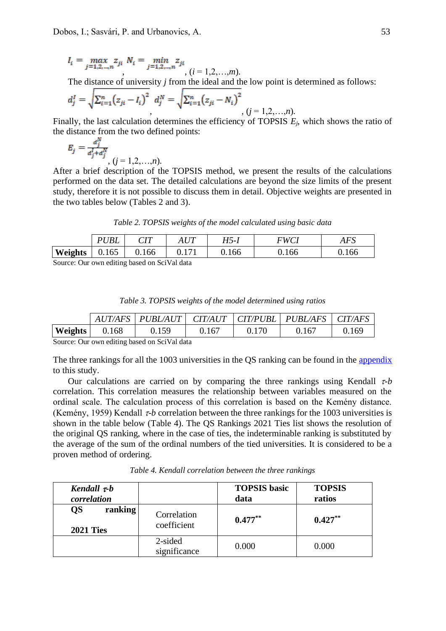$$
I_i = \max_{j=1,2,\dots,n} z_{ji} \ N_i = \min_{j=1,2,\dots,n} z_{ji}
$$
  
(*i* = 1,2,...,*m*).

The distance of university *j* from the ideal and the low point is determined as follows:

$$
d_j^I = \sqrt{\sum_{i=1}^n (z_{ji} - l_i)^2} \ d_j^N = \sqrt{\sum_{i=1}^n (z_{ji} - N_i)^2} \ (j = 1, 2, \ldots, n).
$$

Finally, the last calculation determines the efficiency of TOPSIS *Ej*, which shows the ratio of the distance from the two defined points:

$$
E_j = \frac{d_j^N}{d_j^1 + d_j^N}, (j = 1, 2, ..., n).
$$

After a brief description of the TOPSIS method, we present the results of the calculations performed on the data set. The detailed calculations are beyond the size limits of the present study, therefore it is not possible to discuss them in detail. Objective weights are presented in the two tables below (Tables 2 and 3).

*Table 2. TOPSIS weights of the model calculated using basic data*

| <b>Weights</b><br>0.166<br>0.166<br>0.166<br>0.165<br>v. 171 | 0.166 |
|--------------------------------------------------------------|-------|

Source: Our own editing based on SciVal data

| Table 3. TOPSIS weights of the model determined using ratios |  |  |  |  |  |  |  |
|--------------------------------------------------------------|--|--|--|--|--|--|--|
|--------------------------------------------------------------|--|--|--|--|--|--|--|

|                |       | $AUT/AFS$   PUBL/AUT   CIT/AUT   CIT/PUBL   PUBL/AFS   CIT/AFS |       |       |       |       |
|----------------|-------|----------------------------------------------------------------|-------|-------|-------|-------|
| <b>Weights</b> | 0.168 | 0.159                                                          | 0 167 | 0.170 | 0.167 | 0.169 |

Source: Our own editing based on SciVal data

The three rankings for all the 1003 universities in the QS ranking can be found in the [appendix](http://komejournal.com/files/KOME_of_Dobos_Sasvari_Urbanovics_appendix1) to this study.

Our calculations are carried on by comparing the three rankings using Kendall  $\tau$ -b correlation. This correlation measures the relationship between variables measured on the ordinal scale. The calculation process of this correlation is based on the Kemény distance. (Kemény, 1959) Kendall  $\tau$ -*b* correlation between the three rankings for the 1003 universities is shown in the table below (Table 4). The QS Rankings 2021 Ties list shows the resolution of the original QS ranking, where in the case of ties, the indeterminable ranking is substituted by the average of the sum of the ordinal numbers of the tied universities. It is considered to be a proven method of ordering.

*Table 4. Kendall correlation between the three rankings*

| Kendall $\tau$ -b<br>correlation         |                            | <b>TOPSIS</b> basic<br>data | <b>TOPSIS</b><br>ratios |
|------------------------------------------|----------------------------|-----------------------------|-------------------------|
| <b>QS</b><br>ranking<br><b>2021 Ties</b> | Correlation<br>coefficient | $0.477***$                  | $0.427***$              |
|                                          | 2-sided<br>significance    | 0.000                       | 0.000                   |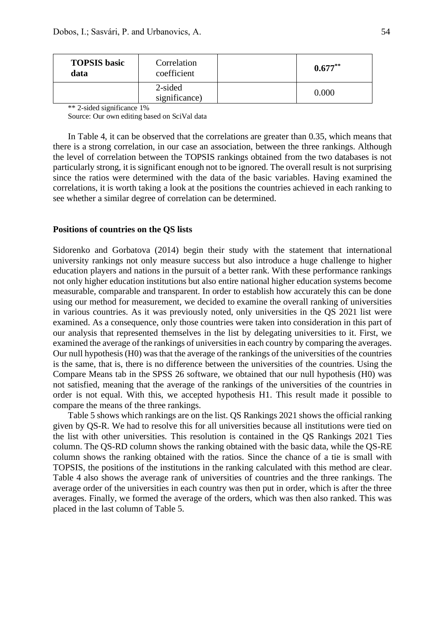| <b>TOPSIS</b> basic<br>data | Correlation<br>coefficient | $0.677***$ |
|-----------------------------|----------------------------|------------|
|                             | 2-sided<br>significance)   | 0.000      |

\*\* 2-sided significance 1%

Source: Our own editing based on SciVal data

In Table 4, it can be observed that the correlations are greater than 0.35, which means that there is a strong correlation, in our case an association, between the three rankings. Although the level of correlation between the TOPSIS rankings obtained from the two databases is not particularly strong, it is significant enough not to be ignored. The overall result is not surprising since the ratios were determined with the data of the basic variables. Having examined the correlations, it is worth taking a look at the positions the countries achieved in each ranking to see whether a similar degree of correlation can be determined.

## **Positions of countries on the QS lists**

Sidorenko and Gorbatova (2014) begin their study with the statement that international university rankings not only measure success but also introduce a huge challenge to higher education players and nations in the pursuit of a better rank. With these performance rankings not only higher education institutions but also entire national higher education systems become measurable, comparable and transparent. In order to establish how accurately this can be done using our method for measurement, we decided to examine the overall ranking of universities in various countries. As it was previously noted, only universities in the QS 2021 list were examined. As a consequence, only those countries were taken into consideration in this part of our analysis that represented themselves in the list by delegating universities to it. First, we examined the average of the rankings of universities in each country by comparing the averages. Our null hypothesis (H0) was that the average of the rankings of the universities of the countries is the same, that is, there is no difference between the universities of the countries. Using the Compare Means tab in the SPSS 26 software, we obtained that our null hypothesis (H0) was not satisfied, meaning that the average of the rankings of the universities of the countries in order is not equal. With this, we accepted hypothesis H1. This result made it possible to compare the means of the three rankings.

Table 5 shows which rankings are on the list. QS Rankings 2021 shows the official ranking given by QS-R. We had to resolve this for all universities because all institutions were tied on the list with other universities. This resolution is contained in the QS Rankings 2021 Ties column. The QS-RD column shows the ranking obtained with the basic data, while the QS-RE column shows the ranking obtained with the ratios. Since the chance of a tie is small with TOPSIS, the positions of the institutions in the ranking calculated with this method are clear. Table 4 also shows the average rank of universities of countries and the three rankings. The average order of the universities in each country was then put in order, which is after the three averages. Finally, we formed the average of the orders, which was then also ranked. This was placed in the last column of Table 5.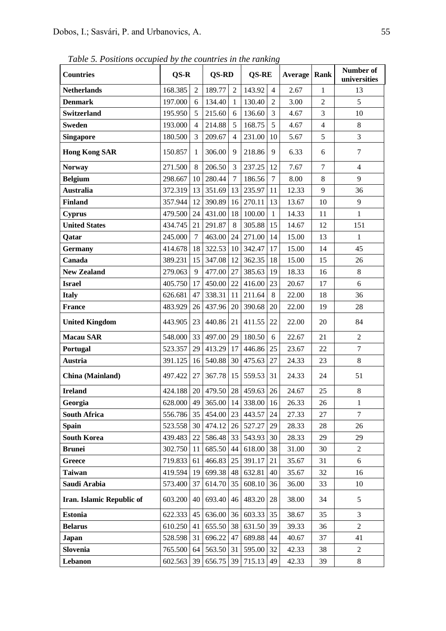*Table 5. Positions occupied by the countries in the ranking*

| <b>Countries</b>          | QS-R                           |                 | QS-RD  |                | <b>QS-RE</b>           |                | Average | Rank           | Number of<br>universities |
|---------------------------|--------------------------------|-----------------|--------|----------------|------------------------|----------------|---------|----------------|---------------------------|
| <b>Netherlands</b>        | 168.385                        | $\overline{2}$  | 189.77 | $\overline{2}$ | 143.92                 | $\overline{4}$ | 2.67    | 1              | 13                        |
| <b>Denmark</b>            | 197.000                        | 6               | 134.40 | 1              | 130.40                 | $\overline{2}$ | 3.00    | 2              | 5                         |
| <b>Switzerland</b>        | 195.950                        | 5               | 215.60 | 6              | 136.60                 | 3              | 4.67    | 3              | 10                        |
| <b>Sweden</b>             | 193.000                        | 4               | 214.88 | 5              | 168.75                 | 5              | 4.67    | $\overline{4}$ | 8                         |
| <b>Singapore</b>          | 180.500                        | 3               | 209.67 | 4              | 231.00                 | 10             | 5.67    | 5              | 3                         |
| <b>Hong Kong SAR</b>      | 150.857                        | 1               | 306.00 | 9              | 218.86                 | 9              | 6.33    | 6              | 7                         |
| <b>Norway</b>             | 271.500                        | 8               | 206.50 | 3              | 237.25                 | 12             | 7.67    | $\tau$         | $\overline{4}$            |
| <b>Belgium</b>            | 298.667                        | 10              | 280.44 | $\overline{7}$ | 186.56                 | $\overline{7}$ | 8.00    | 8              | 9                         |
| <b>Australia</b>          | 372.319                        | 13              | 351.69 | 13             | 235.97                 | 11             | 12.33   | 9              | 36                        |
| <b>Finland</b>            | 357.944                        | 12              | 390.89 | 16             | 270.11                 | 13             | 13.67   | 10             | 9                         |
| <b>Cyprus</b>             | 479.500                        | 24              | 431.00 | 18             | 100.00                 | $\mathbf{1}$   | 14.33   | 11             | $\mathbf{1}$              |
| <b>United States</b>      | 434.745                        | 21              | 291.87 | 8              | 305.88                 | 15             | 14.67   | 12             | 151                       |
| Qatar                     | 245.000                        | 7               | 463.00 | 24             | 271.00                 | 14             | 15.00   | 13             | $\mathbf{1}$              |
| <b>Germany</b>            | 414.678                        | 18              | 322.53 | 10             | 342.47                 | 17             | 15.00   | 14             | 45                        |
| Canada                    | 389.231                        | 15              | 347.08 | 12             | 362.35                 | 18             | 15.00   | 15             | 26                        |
| <b>New Zealand</b>        | 279.063                        | 9               | 477.00 | 27             | 385.63                 | 19             | 18.33   | 16             | 8                         |
| <b>Israel</b>             | 405.750                        | 17              | 450.00 | 22             | 416.00                 | 23             | 20.67   | 17             | 6                         |
| <b>Italy</b>              | 626.681                        | 47              | 338.31 | 11             | 211.64                 | 8              | 22.00   | 18             | 36                        |
| <b>France</b>             | 483.929                        | 26              | 437.96 | 20             | 390.68                 | 20             | 22.00   | 19             | 28                        |
| <b>United Kingdom</b>     | 443.905                        | 23              | 440.86 | 21             | 411.55                 | 22             | 22.00   | 20             | 84                        |
| <b>Macau SAR</b>          | 548.000                        | 33              | 497.00 | 29             | 180.50                 | 6              | 22.67   | 21             | $\overline{2}$            |
| Portugal                  | 523.357                        | 29              | 413.29 | 17             | 446.86                 | 25             | 23.67   | 22             | $\overline{7}$            |
| Austria                   | 391.125                        | 16 <sup>1</sup> | 540.88 | 30             | 475.63                 | 27             | 24.33   | 23             | 8                         |
| China (Mainland)          | 497.422                        | 27              | 367.78 | 15             | 559.53                 | 31             | 24.33   | 24             | 51                        |
| <b>Ireland</b>            | 424.188                        |                 |        |                | 20 479.50 28 459.63 26 |                | 24.67   | 25             | $8\,$                     |
| Georgia                   | 628.000 49 365.00 14 338.00 16 |                 |        |                |                        |                | 26.33   | 26             | $\mathbf{1}$              |
| <b>South Africa</b>       | 556.786                        | 35              | 454.00 | 23             | 443.57                 | 24             | 27.33   | 27             | $\tau$                    |
| <b>Spain</b>              | 523.558                        | 30              | 474.12 | 26             | 527.27                 | 29             | 28.33   | 28             | 26                        |
| <b>South Korea</b>        | 439.483                        | 22              | 586.48 | 33             | 543.93                 | 30             | 28.33   | 29             | 29                        |
| <b>Brunei</b>             | 302.750                        | 11              | 685.50 | 44             | 618.00                 | 38             | 31.00   | 30             | $\overline{c}$            |
| <b>Greece</b>             | 719.833                        | 61              | 466.83 | 25             | 391.17                 | 21             | 35.67   | 31             | 6                         |
| <b>Taiwan</b>             | 419.594                        | 19              | 699.38 | 48             | 632.81                 | 40             | 35.67   | 32             | 16                        |
| Saudi Arabia              | 573.400                        | 37              | 614.70 | 35             | 608.10                 | 36             | 36.00   | 33             | 10                        |
| Iran. Islamic Republic of | 603.200                        | 40              | 693.40 | 46             | 483.20                 | 28             | 38.00   | 34             | 5                         |
| <b>Estonia</b>            | 622.333                        | 45              | 636.00 | 36             | 603.33                 | 35             | 38.67   | 35             | 3                         |
| <b>Belarus</b>            | 610.250                        | 41              | 655.50 | 38             | 631.50                 | 39             | 39.33   | 36             | $\overline{2}$            |
| <b>Japan</b>              | 528.598                        | 31              | 696.22 | 47             | 689.88                 | 44             | 40.67   | 37             | 41                        |
| Slovenia                  | 765.500                        | 64              | 563.50 | 31             | 595.00                 | 32             | 42.33   | 38             | $\overline{2}$            |
| Lebanon                   | 602.563                        | 39              | 656.75 | 39             | 715.13                 | 49             | 42.33   | 39             | 8                         |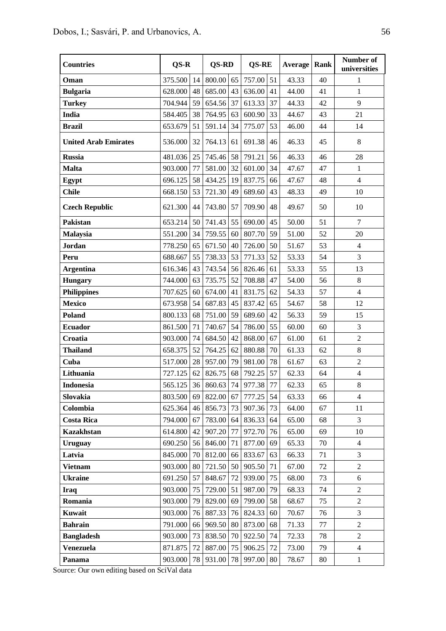| <b>Countries</b>            | QS-R    |    | QS-RD     |    | <b>QS-RE</b> |    | Average | Rank | Number of<br>universities |
|-----------------------------|---------|----|-----------|----|--------------|----|---------|------|---------------------------|
| Oman                        | 375.500 | 14 | 800.00 65 |    | 757.00       | 51 | 43.33   | 40   | 1                         |
| <b>Bulgaria</b>             | 628.000 | 48 | 685.00    | 43 | 636.00       | 41 | 44.00   | 41   | 1                         |
| <b>Turkey</b>               | 704.944 | 59 | 654.56    | 37 | 613.33       | 37 | 44.33   | 42   | 9                         |
| India                       | 584.405 | 38 | 764.95    | 63 | 600.90       | 33 | 44.67   | 43   | 21                        |
| <b>Brazil</b>               | 653.679 | 51 | 591.14    | 34 | 775.07       | 53 | 46.00   | 44   | 14                        |
| <b>United Arab Emirates</b> | 536.000 | 32 | 764.13    | 61 | 691.38       | 46 | 46.33   | 45   | 8                         |
| <b>Russia</b>               | 481.036 | 25 | 745.46    | 58 | 791.21       | 56 | 46.33   | 46   | 28                        |
| <b>Malta</b>                | 903.000 | 77 | 581.00    | 32 | 601.00       | 34 | 47.67   | 47   | $\mathbf{1}$              |
| Egypt                       | 696.125 | 58 | 434.25    | 19 | 837.75       | 66 | 47.67   | 48   | $\overline{4}$            |
| <b>Chile</b>                | 668.150 | 53 | 721.30    | 49 | 689.60       | 43 | 48.33   | 49   | 10                        |
| <b>Czech Republic</b>       | 621.300 | 44 | 743.80    | 57 | 709.90       | 48 | 49.67   | 50   | 10                        |
| Pakistan                    | 653.214 | 50 | 741.43    | 55 | 690.00       | 45 | 50.00   | 51   | $\tau$                    |
| <b>Malaysia</b>             | 551.200 | 34 | 759.55    | 60 | 807.70       | 59 | 51.00   | 52   | 20                        |
| <b>Jordan</b>               | 778.250 | 65 | 671.50    | 40 | 726.00       | 50 | 51.67   | 53   | $\overline{4}$            |
| Peru                        | 688.667 | 55 | 738.33    | 53 | 771.33       | 52 | 53.33   | 54   | 3                         |
| <b>Argentina</b>            | 616.346 | 43 | 743.54    | 56 | 826.46       | 61 | 53.33   | 55   | 13                        |
| <b>Hungary</b>              | 744.000 | 63 | 735.75    | 52 | 708.88       | 47 | 54.00   | 56   | 8                         |
| <b>Philippines</b>          | 707.625 | 60 | 674.00    | 41 | 831.75       | 62 | 54.33   | 57   | $\overline{4}$            |
| <b>Mexico</b>               | 673.958 | 54 | 687.83    | 45 | 837.42       | 65 | 54.67   | 58   | 12                        |
| Poland                      | 800.133 | 68 | 751.00    | 59 | 689.60       | 42 | 56.33   | 59   | 15                        |
| <b>Ecuador</b>              | 861.500 | 71 | 740.67    | 54 | 786.00       | 55 | 60.00   | 60   | 3                         |
| Croatia                     | 903.000 | 74 | 684.50    | 42 | 868.00       | 67 | 61.00   | 61   | $\overline{2}$            |
| <b>Thailand</b>             | 658.375 | 52 | 764.25    | 62 | 880.88       | 70 | 61.33   | 62   | 8                         |
| Cuba                        | 517.000 | 28 | 957.00    | 79 | 981.00       | 78 | 61.67   | 63   | $\overline{2}$            |
| Lithuania                   | 727.125 | 62 | 826.75    | 68 | 792.25       | 57 | 62.33   | 64   | $\overline{4}$            |
| <b>Indonesia</b>            | 565.125 | 36 | 860.63    | 74 | 977.38       | 77 | 62.33   | 65   | $8\,$                     |
| Slovakia                    | 803.500 | 69 | 822.00    | 67 | 777.25 54    |    | 63.33   | 66   | $\overline{4}$            |
| Colombia                    | 625.364 | 46 | 856.73    | 73 | 907.36       | 73 | 64.00   | 67   | 11                        |
| <b>Costa Rica</b>           | 794.000 | 67 | 783.00    | 64 | 836.33       | 64 | 65.00   | 68   | 3                         |
| <b>Kazakhstan</b>           | 614.800 | 42 | 907.20    | 77 | 972.70       | 76 | 65.00   | 69   | 10                        |
| <b>Uruguay</b>              | 690.250 | 56 | 846.00    | 71 | 877.00       | 69 | 65.33   | 70   | $\overline{4}$            |
| Latvia                      | 845.000 | 70 | 812.00    | 66 | 833.67       | 63 | 66.33   | 71   | 3                         |
| <b>Vietnam</b>              | 903.000 | 80 | 721.50    | 50 | 905.50       | 71 | 67.00   | 72   | $\overline{2}$            |
| <b>Ukraine</b>              | 691.250 | 57 | 848.67    | 72 | 939.00       | 75 | 68.00   | 73   | 6                         |
| <b>Iraq</b>                 | 903.000 | 75 | 729.00    | 51 | 987.00       | 79 | 68.33   | 74   | $\overline{2}$            |
| Romania                     | 903.000 | 79 | 829.00    | 69 | 799.00       | 58 | 68.67   | 75   | $\overline{2}$            |
| Kuwait                      | 903.000 | 76 | 887.33    | 76 | 824.33       | 60 | 70.67   | 76   | 3                         |
| <b>Bahrain</b>              | 791.000 | 66 | 969.50    | 80 | 873.00       | 68 | 71.33   | 77   | $\overline{2}$            |
| <b>Bangladesh</b>           | 903.000 | 73 | 838.50    | 70 | 922.50       | 74 | 72.33   | 78   | $\overline{2}$            |
| <b>Venezuela</b>            | 871.875 | 72 | 887.00    | 75 | 906.25       | 72 | 73.00   | 79   | $\overline{4}$            |
| Panama                      | 903.000 | 78 | 931.00    | 78 | 997.00       | 80 | 78.67   | 80   | $\mathbf{1}$              |

Source: Our own editing based on SciVal data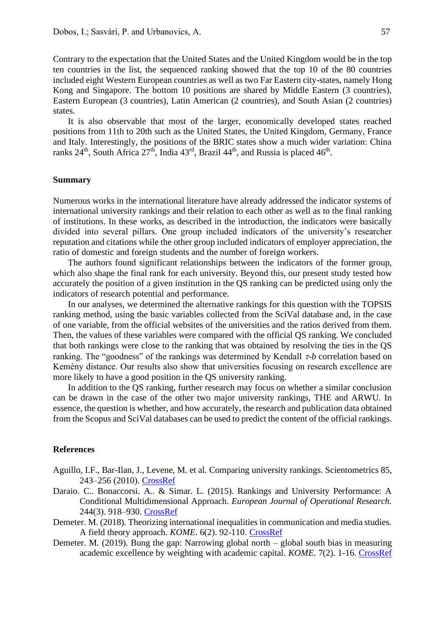Contrary to the expectation that the United States and the United Kingdom would be in the top ten countries in the list, the sequenced ranking showed that the top 10 of the 80 countries included eight Western European countries as well as two Far Eastern city-states, namely Hong Kong and Singapore. The bottom 10 positions are shared by Middle Eastern (3 countries), Eastern European (3 countries), Latin American (2 countries), and South Asian (2 countries) states.

It is also observable that most of the larger, economically developed states reached positions from 11th to 20th such as the United States, the United Kingdom, Germany, France and Italy. Interestingly, the positions of the BRIC states show a much wider variation: China ranks  $24<sup>th</sup>$ , South Africa  $27<sup>th</sup>$ , India  $43<sup>rd</sup>$ , Brazil  $44<sup>th</sup>$ , and Russia is placed  $46<sup>th</sup>$ .

## **Summary**

Numerous works in the international literature have already addressed the indicator systems of international university rankings and their relation to each other as well as to the final ranking of institutions. In these works, as described in the introduction, the indicators were basically divided into several pillars. One group included indicators of the university's researcher reputation and citations while the other group included indicators of employer appreciation, the ratio of domestic and foreign students and the number of foreign workers.

The authors found significant relationships between the indicators of the former group, which also shape the final rank for each university. Beyond this, our present study tested how accurately the position of a given institution in the QS ranking can be predicted using only the indicators of research potential and performance.

In our analyses, we determined the alternative rankings for this question with the TOPSIS ranking method, using the basic variables collected from the SciVal database and, in the case of one variable, from the official websites of the universities and the ratios derived from them. Then, the values of these variables were compared with the official QS ranking. We concluded that both rankings were close to the ranking that was obtained by resolving the ties in the QS ranking. The "goodness" of the rankings was determined by Kendall  $\tau$ -b correlation based on Kemény distance. Our results also show that universities focusing on research excellence are more likely to have a good position in the QS university ranking.

In addition to the QS ranking, further research may focus on whether a similar conclusion can be drawn in the case of the other two major university rankings, THE and ARWU. In essence, the question is whether, and how accurately, the research and publication data obtained from the Scopus and SciVal databases can be used to predict the content of the official rankings.

## **References**

- Aguillo, I.F., Bar-Ilan, J., Levene, M. et al. Comparing university rankings. Scientometrics 85, 243–256 (2010). [CrossRef](https://doi.org/10.1007/s11192-010-0190-z)
- Daraio. C.. Bonaccorsi. A.. & Simar. L. (2015). Rankings and University Performance: A Conditional Multidimensional Approach. *European Journal of Operational Research.* 244(3). 918–930. [CrossRef](https://doi.org/10.1016/j.ejor.2015.02.005)
- Demeter. M. (2018). Theorizing international inequalities in communication and media studies. A field theory approach. *KOME*. 6(2). 92-110. [CrossRef](https://doi.org/10.17646/KOME.75692.94)
- Demeter. M. (2019). Bung the gap: Narrowing global north global south bias in measuring academic excellence by weighting with academic capital. *KOME*. 7(2). 1-16. [CrossRef](https://doi.org/10.17646/KOME.75672.40)